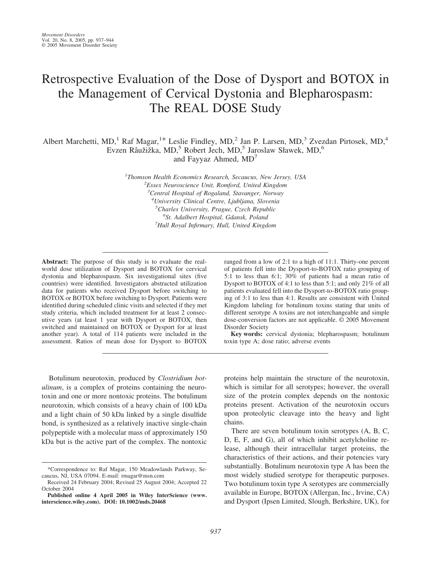# Retrospective Evaluation of the Dose of Dysport and BOTOX in the Management of Cervical Dystonia and Blepharospasm: The REAL DOSE Study

Albert Marchetti, MD,<sup>1</sup> Raf Magar,<sup>1\*</sup> Leslie Findley, MD,<sup>2</sup> Jan P. Larsen, MD,<sup>3</sup> Zvezdan Pirtosek, MD,<sup>4</sup> Evzen Råužižka, MD,<sup>5</sup> Robert Jech, MD,<sup>5</sup> Jaroslaw Sławek, MD,<sup>6</sup>

and Fayyaz Ahmed, MD<sup>7</sup>

 *Thomson Health Economics Research, Secaucus, New Jersey, USA <sup>2</sup> Essex Neuroscience Unit, Romford, United Kingdom Central Hospital of Rogaland, Stavanger, Norway University Clinical Centre, Ljubljana, Slovenia Charles University, Prague, Czech Republic St. Adalbert Hospital, Gdansk, Poland <sup>7</sup> Hull Royal Infirmary, Hull, United Kingdom*

**Abstract:** The purpose of this study is to evaluate the realworld dose utilization of Dysport and BOTOX for cervical dystonia and blepharospasm. Six investigational sites (five countries) were identified. Investigators abstracted utilization data for patients who received Dysport before switching to BOTOX or BOTOX before switching to Dysport. Patients were identified during scheduled clinic visits and selected if they met study criteria, which included treatment for at least 2 consecutive years (at least 1 year with Dysport or BOTOX, then switched and maintained on BOTOX or Dysport for at least another year). A total of 114 patients were included in the assessment. Ratios of mean dose for Dysport to BOTOX ranged from a low of 2:1 to a high of 11:1. Thirty-one percent of patients fell into the Dysport-to-BOTOX ratio grouping of 5:1 to less than 6:1; 30% of patients had a mean ratio of Dysport to BOTOX of 4:1 to less than 5:1; and only 21% of all patients evaluated fell into the Dysport-to-BOTOX ratio grouping of 3:1 to less than 4:1. Results are consistent with United Kingdom labeling for botulinum toxins stating that units of different serotype A toxins are not interchangeable and simple dose-conversion factors are not applicable. © 2005 Movement Disorder Society

**Key words:** cervical dystonia; blepharospasm; botulinum toxin type A; dose ratio; adverse events

Botulinum neurotoxin, produced by *Clostridium botulinum*, is a complex of proteins containing the neurotoxin and one or more nontoxic proteins. The botulinum neurotoxin, which consists of a heavy chain of 100 kDa and a light chain of 50 kDa linked by a single disulfide bond, is synthesized as a relatively inactive single-chain polypeptide with a molecular mass of approximately 150 kDa but is the active part of the complex. The nontoxic proteins help maintain the structure of the neurotoxin, which is similar for all serotypes; however, the overall size of the protein complex depends on the nontoxic proteins present. Activation of the neurotoxin occurs upon proteolytic cleavage into the heavy and light chains.

There are seven botulinum toxin serotypes (A, B, C, D, E, F, and G), all of which inhibit acetylcholine release, although their intracellular target proteins, the characteristics of their actions, and their potencies vary substantially. Botulinum neurotoxin type A has been the most widely studied serotype for therapeutic purposes. Two botulinum toxin type A serotypes are commercially available in Europe, BOTOX (Allergan, Inc., Irvine, CA) and Dysport (Ipsen Limited, Slough, Berkshire, UK), for

<sup>\*</sup>Correspondence to: Raf Magar, 150 Meadowlands Parkway, Secaucus, NJ, USA 07094. E-mail: rmagar@msn.com

Received 24 February 2004; Revised 25 August 2004; Accepted 22 October 2004

**Published online 4 April 2005 in Wiley InterScience (www. interscience.wiley.com). DOI: 10.1002/mds.20468**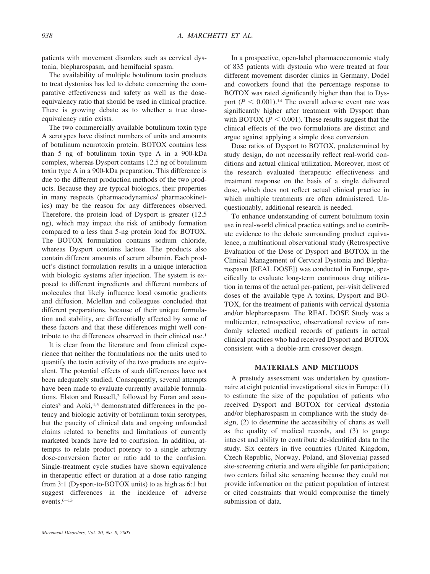patients with movement disorders such as cervical dystonia, blepharospasm, and hemifacial spasm.

The availability of multiple botulinum toxin products to treat dystonias has led to debate concerning the comparative effectiveness and safety as well as the doseequivalency ratio that should be used in clinical practice. There is growing debate as to whether a true doseequivalency ratio exists.

The two commercially available botulinum toxin type A serotypes have distinct numbers of units and amounts of botulinum neurotoxin protein. BOTOX contains less than 5 ng of botulinum toxin type A in a 900-kDa complex, whereas Dysport contains 12.5 ng of botulinum toxin type A in a 900-kDa preparation. This difference is due to the different production methods of the two products. Because they are typical biologics, their properties in many respects (pharmacodynamics/ pharmacokinetics) may be the reason for any differences observed. Therefore, the protein load of Dysport is greater (12.5 ng), which may impact the risk of antibody formation compared to a less than 5-ng protein load for BOTOX. The BOTOX formulation contains sodium chloride, whereas Dysport contains lactose. The products also contain different amounts of serum albumin. Each product's distinct formulation results in a unique interaction with biologic systems after injection. The system is exposed to different ingredients and different numbers of molecules that likely influence local osmotic gradients and diffusion. Mclellan and colleagues concluded that different preparations, because of their unique formulation and stability, are differentially affected by some of these factors and that these differences might well contribute to the differences observed in their clinical use.1

It is clear from the literature and from clinical experience that neither the formulations nor the units used to quantify the toxin activity of the two products are equivalent. The potential effects of such differences have not been adequately studied. Consequently, several attempts have been made to evaluate currently available formulations. Elston and Russell,<sup>2</sup> followed by Foran and associates<sup>3</sup> and Aoki,<sup>4,5</sup> demonstrated differences in the potency and biologic activity of botulinum toxin serotypes, but the paucity of clinical data and ongoing unfounded claims related to benefits and limitations of currently marketed brands have led to confusion. In addition, attempts to relate product potency to a single arbitrary dose-conversion factor or ratio add to the confusion. Single-treatment cycle studies have shown equivalence in therapeutic effect or duration at a dose ratio ranging from 3:1 (Dysport-to-BOTOX units) to as high as 6:1 but suggest differences in the incidence of adverse events.<sup>6-13</sup>

In a prospective, open-label pharmacoeconomic study of 835 patients with dystonia who were treated at four different movement disorder clinics in Germany, Dodel and coworkers found that the percentage response to BOTOX was rated significantly higher than that to Dysport  $(P < 0.001)$ .<sup>14</sup> The overall adverse event rate was significantly higher after treatment with Dysport than with BOTOX ( $P < 0.001$ ). These results suggest that the clinical effects of the two formulations are distinct and argue against applying a simple dose conversion.

Dose ratios of Dysport to BOTOX, predetermined by study design, do not necessarily reflect real-world conditions and actual clinical utilization. Moreover, most of the research evaluated therapeutic effectiveness and treatment response on the basis of a single delivered dose, which does not reflect actual clinical practice in which multiple treatments are often administered. Unquestionably, additional research is needed.

To enhance understanding of current botulinum toxin use in real-world clinical practice settings and to contribute evidence to the debate surrounding product equivalence, a multinational observational study (Retrospective Evaluation of the Dose of Dysport and BOTOX in the Clinical Management of Cervical Dystonia and Blepharospasm [REAL DOSE]) was conducted in Europe, specifically to evaluate long-term continuous drug utilization in terms of the actual per-patient, per-visit delivered doses of the available type A toxins, Dysport and BO-TOX, for the treatment of patients with cervical dystonia and/or blepharospasm. The REAL DOSE Study was a multicenter, retrospective, observational review of randomly selected medical records of patients in actual clinical practices who had received Dysport and BOTOX consistent with a double-arm crossover design.

## **MATERIALS AND METHODS**

A prestudy assessment was undertaken by questionnaire at eight potential investigational sites in Europe: (1) to estimate the size of the population of patients who received Dysport and BOTOX for cervical dystonia and/or blepharospasm in compliance with the study design, (2) to determine the accessibility of charts as well as the quality of medical records, and (3) to gauge interest and ability to contribute de-identified data to the study. Six centers in five countries (United Kingdom, Czech Republic, Norway, Poland, and Slovenia) passed site-screening criteria and were eligible for participation; two centers failed site screening because they could not provide information on the patient population of interest or cited constraints that would compromise the timely submission of data.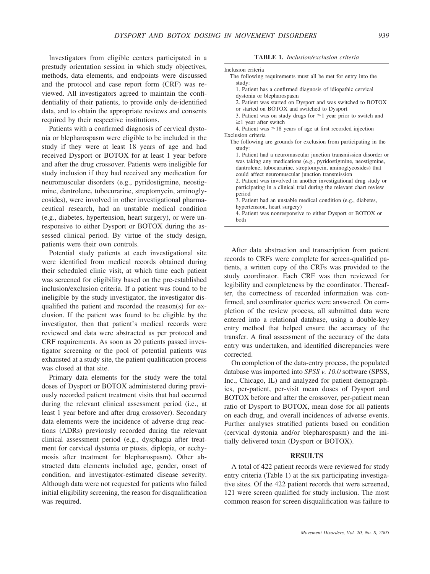Investigators from eligible centers participated in a prestudy orientation session in which study objectives, methods, data elements, and endpoints were discussed and the protocol and case report form (CRF) was reviewed. All investigators agreed to maintain the confidentiality of their patients, to provide only de-identified data, and to obtain the appropriate reviews and consents required by their respective institutions.

Patients with a confirmed diagnosis of cervical dystonia or blepharospasm were eligible to be included in the study if they were at least 18 years of age and had received Dysport or BOTOX for at least 1 year before and after the drug crossover. Patients were ineligible for study inclusion if they had received any medication for neuromuscular disorders (e.g., pyridostigmine, neostigmine, dantrolene, tubocurarine, streptomycin, aminoglycosides), were involved in other investigational pharmaceutical research, had an unstable medical condition (e.g., diabetes, hypertension, heart surgery), or were unresponsive to either Dysport or BOTOX during the assessed clinical period. By virtue of the study design, patients were their own controls.

Potential study patients at each investigational site were identified from medical records obtained during their scheduled clinic visit, at which time each patient was screened for eligibility based on the pre-established inclusion/exclusion criteria. If a patient was found to be ineligible by the study investigator, the investigator disqualified the patient and recorded the reason(s) for exclusion. If the patient was found to be eligible by the investigator, then that patient's medical records were reviewed and data were abstracted as per protocol and CRF requirements. As soon as 20 patients passed investigator screening or the pool of potential patients was exhausted at a study site, the patient qualification process was closed at that site.

Primary data elements for the study were the total doses of Dysport or BOTOX administered during previously recorded patient treatment visits that had occurred during the relevant clinical assessment period (i.e., at least 1 year before and after drug crossover). Secondary data elements were the incidence of adverse drug reactions (ADRs) previously recorded during the relevant clinical assessment period (e.g., dysphagia after treatment for cervical dystonia or ptosis, diplopia, or ecchymosis after treatment for blepharospasm). Other abstracted data elements included age, gender, onset of condition, and investigator-estimated disease severity. Although data were not requested for patients who failed initial eligibility screening, the reason for disqualification was required.

**TABLE 1.** *Inclusion/exclusion criteria*

| Inclusion criteria                                                                                                                                                                                  |
|-----------------------------------------------------------------------------------------------------------------------------------------------------------------------------------------------------|
| The following requirements must all be met for entry into the                                                                                                                                       |
| study:<br>1. Patient has a confirmed diagnosis of idiopathic cervical                                                                                                                               |
| dystonia or blepharospasm                                                                                                                                                                           |
| 2. Patient was started on Dysport and was switched to BOTOX<br>or started on BOTOX and switched to Dysport                                                                                          |
| 3. Patient was on study drugs for $\geq 1$ year prior to switch and<br>$\geq$ 1 year after switch                                                                                                   |
| 4. Patient was $\geq 18$ years of age at first recorded injection                                                                                                                                   |
| Exclusion criteria                                                                                                                                                                                  |
| The following are grounds for exclusion from participating in the                                                                                                                                   |
| study:                                                                                                                                                                                              |
| 1. Patient had a neuromuscular junction transmission disorder or<br>was taking any medications (e.g., pyridostigmine, neostigmine,<br>dantrolene, tubocurarine, streptomycin, aminoglycosides) that |
| could affect neuromuscular junction transmission                                                                                                                                                    |
| 2. Patient was involved in another investigational drug study or                                                                                                                                    |
| participating in a clinical trial during the relevant chart review                                                                                                                                  |
| period                                                                                                                                                                                              |
| 3. Patient had an unstable medical condition (e.g., diabetes,                                                                                                                                       |
| hypertension, heart surgery)                                                                                                                                                                        |
| 4. Patient was nonresponsive to either Dysport or BOTOX or                                                                                                                                          |
| both                                                                                                                                                                                                |

After data abstraction and transcription from patient records to CRFs were complete for screen-qualified patients, a written copy of the CRFs was provided to the study coordinator. Each CRF was then reviewed for legibility and completeness by the coordinator. Thereafter, the correctness of recorded information was confirmed, and coordinator queries were answered. On completion of the review process, all submitted data were entered into a relational database, using a double-key entry method that helped ensure the accuracy of the transfer. A final assessment of the accuracy of the data entry was undertaken, and identified discrepancies were corrected.

On completion of the data-entry process, the populated database was imported into *SPSS v. 10.0* software (SPSS, Inc., Chicago, IL) and analyzed for patient demographics, per-patient, per-visit mean doses of Dysport and BOTOX before and after the crossover, per-patient mean ratio of Dysport to BOTOX, mean dose for all patients on each drug, and overall incidences of adverse events. Further analyses stratified patients based on condition (cervical dystonia and/or blepharospasm) and the initially delivered toxin (Dysport or BOTOX).

## **RESULTS**

A total of 422 patient records were reviewed for study entry criteria (Table 1) at the six participating investigative sites. Of the 422 patient records that were screened, 121 were screen qualified for study inclusion. The most common reason for screen disqualification was failure to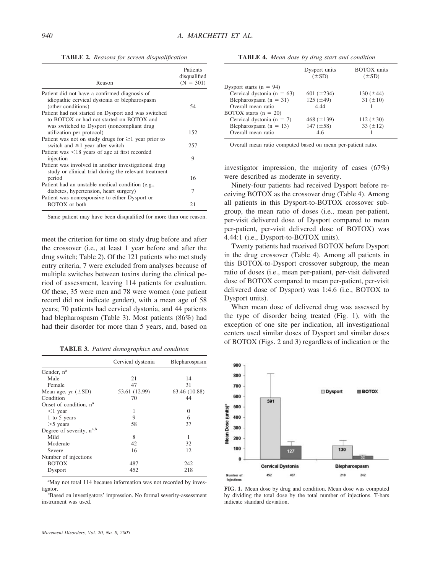**TABLE 2.** *Reasons for screen disqualification*

| Reason                                                                                                        | Patients<br>disqualified<br>$(N = 301)$ |
|---------------------------------------------------------------------------------------------------------------|-----------------------------------------|
| Patient did not have a confirmed diagnosis of<br>idiopathic cervical dystonia or blepharospasm                |                                         |
| (other conditions)                                                                                            | 54                                      |
| Patient had not started on Dysport and was switched<br>to BOTOX or had not started on BOTOX and               |                                         |
| was switched to Dysport (noncompliant drug<br>utilization per protocol)                                       | 152                                     |
| Patient was not on study drugs for $\geq 1$ year prior to<br>switch and $\geq$ 1 year after switch            | 257                                     |
| Patient was <18 years of age at first recorded                                                                |                                         |
| injection                                                                                                     | 9                                       |
| Patient was involved in another investigational drug<br>study or clinical trial during the relevant treatment |                                         |
| period                                                                                                        | 16                                      |
| Patient had an unstable medical condition (e.g.,<br>diabetes, hypertension, heart surgery)                    | 7                                       |
| Patient was nonresponsive to either Dysport or                                                                |                                         |
| <b>BOTOX</b> or both                                                                                          | 21                                      |

Same patient may have been disqualified for more than one reason.

meet the criterion for time on study drug before and after the crossover (i.e., at least 1 year before and after the drug switch; Table 2). Of the 121 patients who met study entry criteria, 7 were excluded from analyses because of multiple switches between toxins during the clinical period of assessment, leaving 114 patients for evaluation. Of these, 35 were men and 78 were women (one patient record did not indicate gender), with a mean age of 58 years; 70 patients had cervical dystonia, and 44 patients had blepharospasm (Table 3). Most patients (86%) had had their disorder for more than 5 years, and, based on

**TABLE 3.** *Patient demographics and condition*

|                                    | Cervical dystonia | Blepharospasm |
|------------------------------------|-------------------|---------------|
| Gender, n <sup>a</sup>             |                   |               |
| Male                               | 21                | 14            |
| Female                             | 47                | 31            |
| Mean age, yr $(\pm SD)$            | 53.61 (12.99)     | 63.46 (10.88) |
| Condition                          | 70                | 44            |
| Onset of condition, n <sup>a</sup> |                   |               |
| $<$ 1 year                         | 1                 | $\theta$      |
| 1 to 5 years                       | 9                 | 6             |
| $>5$ years                         | 58                | 37            |
| Degree of severity, $n^{a,b}$      |                   |               |
| Mild                               | 8                 | 1             |
| Moderate                           | 42                | 32            |
| Severe                             | 16                | 12            |
| Number of injections               |                   |               |
| <b>BOTOX</b>                       | 487               | 242           |
| Dysport                            | 452               | 218           |

<sup>a</sup>May not total 114 because information was not recorded by investigator.

<sup>b</sup>Based on investigators' impression. No formal severity-assessment instrument was used.

**TABLE 4.** *Mean dose by drug start and condition*

|                                | Dysport units<br>$(\pm SD)$ | <b>BOTOX</b> units<br>$(\pm SD)$ |
|--------------------------------|-----------------------------|----------------------------------|
| Dysport starts $(n = 94)$      |                             |                                  |
| Cervical dystonia ( $n = 63$ ) | 601 $(\pm 234)$             | 130 $(\pm 44)$                   |
| Blepharospasm $(n = 31)$       | $125 (\pm 49)$              | $31 (\pm 10)$                    |
| Overall mean ratio             | 4.44                        |                                  |
| BOTOX starts $(n = 20)$        |                             |                                  |
| Cervical dystonia ( $n = 7$ )  | 468 $(\pm 139)$             | 112 $(\pm 30)$                   |
| Blepharospasm $(n = 13)$       | 147 $(\pm 58)$              | $33 (\pm 12)$                    |
| Overall mean ratio             | 4.6                         |                                  |

Overall mean ratio computed based on mean per-patient ratio.

investigator impression, the majority of cases (67%) were described as moderate in severity.

Ninety-four patients had received Dysport before receiving BOTOX as the crossover drug (Table 4). Among all patients in this Dysport-to-BOTOX crossover subgroup, the mean ratio of doses (i.e., mean per-patient, per-visit delivered dose of Dysport compared to mean per-patient, per-visit delivered dose of BOTOX) was 4.44:1 (i.e., Dysport-to-BOTOX units).

Twenty patients had received BOTOX before Dysport in the drug crossover (Table 4). Among all patients in this BOTOX-to-Dysport crossover subgroup, the mean ratio of doses (i.e., mean per-patient, per-visit delivered dose of BOTOX compared to mean per-patient, per-visit delivered dose of Dysport) was 1:4.6 (i.e., BOTOX to Dysport units).

When mean dose of delivered drug was assessed by the type of disorder being treated (Fig. 1), with the exception of one site per indication, all investigational centers used similar doses of Dysport and similar doses of BOTOX (Figs. 2 and 3) regardless of indication or the



**FIG. 1.** Mean dose by drug and condition. Mean dose was computed by dividing the total dose by the total number of injections. T-bars indicate standard deviation.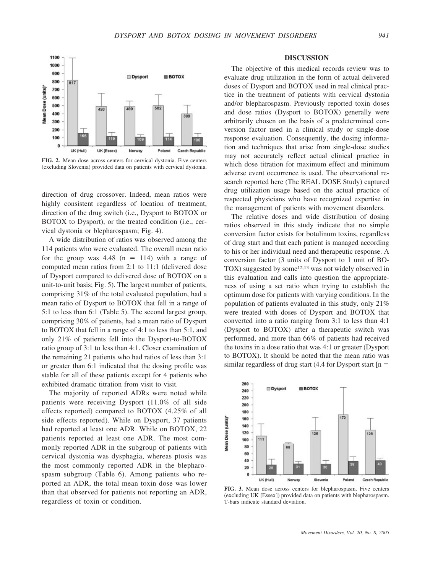

**FIG. 2.** Mean dose across centers for cervical dystonia. Five centers (excluding Slovenia) provided data on patients with cervical dystonia.

direction of drug crossover. Indeed, mean ratios were highly consistent regardless of location of treatment, direction of the drug switch (i.e., Dysport to BOTOX or BOTOX to Dysport), or the treated condition (i.e., cervical dystonia or blepharospasm; Fig. 4).

A wide distribution of ratios was observed among the 114 patients who were evaluated. The overall mean ratio for the group was  $4.48$  (n = 114) with a range of computed mean ratios from 2:1 to 11:1 (delivered dose of Dysport compared to delivered dose of BOTOX on a unit-to-unit basis; Fig. 5). The largest number of patients, comprising 31% of the total evaluated population, had a mean ratio of Dysport to BOTOX that fell in a range of 5:1 to less than 6:1 (Table 5). The second largest group, comprising 30% of patients, had a mean ratio of Dysport to BOTOX that fell in a range of 4:1 to less than 5:1, and only 21% of patients fell into the Dysport-to-BOTOX ratio group of 3:1 to less than 4:1. Closer examination of the remaining 21 patients who had ratios of less than 3:1 or greater than 6:1 indicated that the dosing profile was stable for all of these patients except for 4 patients who exhibited dramatic titration from visit to visit.

The majority of reported ADRs were noted while patients were receiving Dysport (11.0% of all side effects reported) compared to BOTOX (4.25% of all side effects reported). While on Dysport, 37 patients had reported at least one ADR. While on BOTOX, 22 patients reported at least one ADR. The most commonly reported ADR in the subgroup of patients with cervical dystonia was dysphagia, whereas ptosis was the most commonly reported ADR in the blepharospasm subgroup (Table 6). Among patients who reported an ADR, the total mean toxin dose was lower than that observed for patients not reporting an ADR, regardless of toxin or condition.

### **DISCUSSION**

The objective of this medical records review was to evaluate drug utilization in the form of actual delivered doses of Dysport and BOTOX used in real clinical practice in the treatment of patients with cervical dystonia and/or blepharospasm. Previously reported toxin doses and dose ratios (Dysport to BOTOX) generally were arbitrarily chosen on the basis of a predetermined conversion factor used in a clinical study or single-dose response evaluation. Consequently, the dosing information and techniques that arise from single-dose studies may not accurately reflect actual clinical practice in which dose titration for maximum effect and minimum adverse event occurrence is used. The observational research reported here (The REAL DOSE Study) captured drug utilization usage based on the actual practice of respected physicians who have recognized expertise in the management of patients with movement disorders.

The relative doses and wide distribution of dosing ratios observed in this study indicate that no simple conversion factor exists for botulinum toxins, regardless of drug start and that each patient is managed according to his or her individual need and therapeutic response. A conversion factor (3 units of Dysport to 1 unit of BO-TOX) suggested by some<sup>12,13</sup> was not widely observed in this evaluation and calls into question the appropriateness of using a set ratio when trying to establish the optimum dose for patients with varying conditions. In the population of patients evaluated in this study, only 21% were treated with doses of Dysport and BOTOX that converted into a ratio ranging from 3:1 to less than 4:1 (Dysport to BOTOX) after a therapeutic switch was performed, and more than 66% of patients had received the toxins in a dose ratio that was 4:1 or greater (Dysport to BOTOX). It should be noted that the mean ratio was similar regardless of drug start  $(4.4$  for Dysport start  $[n =$ 



**FIG. 3.** Mean dose across centers for blepharospasm. Five centers (excluding UK [Essex]) provided data on patients with blepharospasm. T-bars indicate standard deviation.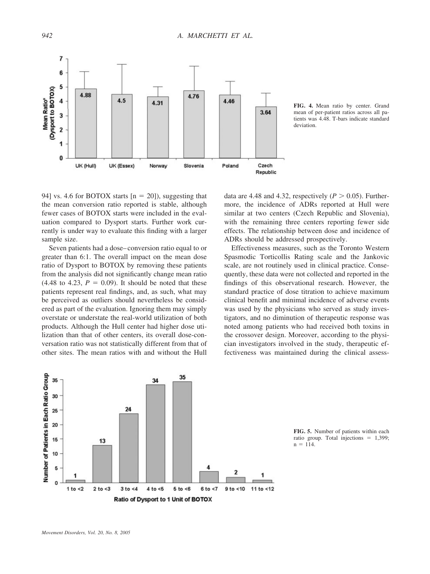

**FIG. 4.** Mean ratio by center. Grand mean of per-patient ratios across all patients was 4.48. T-bars indicate standard deviation.

94] vs. 4.6 for BOTOX starts  $[n = 20]$ , suggesting that the mean conversion ratio reported is stable, although fewer cases of BOTOX starts were included in the evaluation compared to Dysport starts. Further work currently is under way to evaluate this finding with a larger sample size.

Seven patients had a dose– conversion ratio equal to or greater than 6:1. The overall impact on the mean dose ratio of Dysport to BOTOX by removing these patients from the analysis did not significantly change mean ratio  $(4.48 \text{ to } 4.23, P = 0.09)$ . It should be noted that these patients represent real findings, and, as such, what may be perceived as outliers should nevertheless be considered as part of the evaluation. Ignoring them may simply overstate or understate the real-world utilization of both products. Although the Hull center had higher dose utilization than that of other centers, its overall dose-conversation ratio was not statistically different from that of other sites. The mean ratios with and without the Hull

data are 4.48 and 4.32, respectively ( $P > 0.05$ ). Furthermore, the incidence of ADRs reported at Hull were similar at two centers (Czech Republic and Slovenia), with the remaining three centers reporting fewer side effects. The relationship between dose and incidence of ADRs should be addressed prospectively.

Effectiveness measures, such as the Toronto Western Spasmodic Torticollis Rating scale and the Jankovic scale, are not routinely used in clinical practice. Consequently, these data were not collected and reported in the findings of this observational research. However, the standard practice of dose titration to achieve maximum clinical benefit and minimal incidence of adverse events was used by the physicians who served as study investigators, and no diminution of therapeutic response was noted among patients who had received both toxins in the crossover design. Moreover, according to the physician investigators involved in the study, therapeutic effectiveness was maintained during the clinical assess-



**FIG. 5.** Number of patients within each ratio group. Total injections  $= 1,399$ ;  $n = 114$ .

*Movement Disorders, Vol. 20, No. 8, 2005*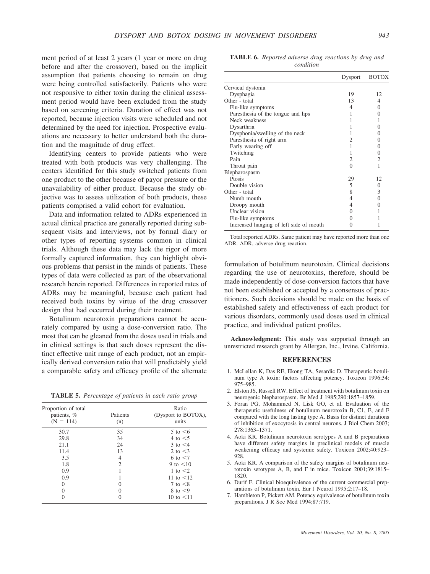ment period of at least 2 years (1 year or more on drug before and after the crossover), based on the implicit assumption that patients choosing to remain on drug were being controlled satisfactorily. Patients who were not responsive to either toxin during the clinical assessment period would have been excluded from the study based on screening criteria. Duration of effect was not reported, because injection visits were scheduled and not determined by the need for injection. Prospective evaluations are necessary to better understand both the duration and the magnitude of drug effect.

Identifying centers to provide patients who were treated with both products was very challenging. The centers identified for this study switched patients from one product to the other because of payor pressure or the unavailability of either product. Because the study objective was to assess utilization of both products, these patients comprised a valid cohort for evaluation.

Data and information related to ADRs experienced in actual clinical practice are generally reported during subsequent visits and interviews, not by formal diary or other types of reporting systems common in clinical trials. Although these data may lack the rigor of more formally captured information, they can highlight obvious problems that persist in the minds of patients. These types of data were collected as part of the observational research herein reported. Differences in reported rates of ADRs may be meaningful, because each patient had received both toxins by virtue of the drug crossover design that had occurred during their treatment.

Botulinum neurotoxin preparations cannot be accurately compared by using a dose-conversion ratio. The most that can be gleaned from the doses used in trials and in clinical settings is that such doses represent the distinct effective unit range of each product, not an empirically derived conversion ratio that will predictably yield a comparable safety and efficacy profile of the alternate

**TABLE 5.** *Percentage of patients in each ratio group*

| Proportion of total<br>patients, %<br>$(N = 114)$ | Patients<br>(n) | Ratio<br>(Dysport to BOTOX),<br>units |
|---------------------------------------------------|-----------------|---------------------------------------|
| 30.7                                              | 35              | $5$ to $\leq 6$                       |
| 29.8                                              | 34              | 4 to $\leq$ 5                         |
| 21.1                                              | 24              | $3 \text{ to } 4$                     |
| 11.4                                              | 13              | 2 to $\leq$ 3                         |
| 3.5                                               | 4               | 6 to $\leq$ 7                         |
| 1.8                                               | $\mathfrak{D}$  | 9 to $< 10$                           |
| 0.9                                               |                 | 1 to $\leq$ 2                         |
| 0.9                                               |                 | 11 to $\leq 12$                       |
| $\Omega$                                          |                 | 7 to $\leq$ 8                         |
| 0                                                 |                 | 8 to $\leq$ 9                         |
|                                                   |                 | 10 to $\leq 11$                       |

**TABLE 6.** *Reported adverse drug reactions by drug and condition*

|                                         | Dysport  | <b>BOTOX</b> |
|-----------------------------------------|----------|--------------|
| Cervical dystonia                       |          |              |
| Dysphagia                               | 19       | 12           |
| Other - total                           | 13       | 4            |
| Flu-like symptoms                       | 4        | 0            |
| Paresthesia of the tongue and lips      | 1        | 0            |
| Neck weakness                           |          | 1            |
| Dysarthria                              |          | 0            |
| Dysphonia/swelling of the neck          |          | 0            |
| Paresthesia of right arm                | 2        | 0            |
| Early wearing off                       |          | 0            |
| Twitching                               | 1        | 0            |
| Pain                                    | 2        | 2            |
| Throat pain                             | $\Omega$ | 1            |
| Blepharospasm                           |          |              |
| Prosis                                  | 29       | 12           |
| Double vision                           | 5        | 0            |
| Other - total                           | 8        | 3            |
| Numb mouth                              | 4        | 0            |
| Droopy mouth                            | 4        | 0            |
| Unclear vision                          | 0        |              |
| Flu-like symptoms                       |          |              |
| Increased hanging of left side of mouth |          |              |

Total reported ADRs. Same patient may have reported more than one ADR. ADR, adverse drug reaction.

formulation of botulinum neurotoxin. Clinical decisions regarding the use of neurotoxins, therefore, should be made independently of dose-conversion factors that have not been established or accepted by a consensus of practitioners. Such decisions should be made on the basis of established safety and effectiveness of each product for various disorders, commonly used doses used in clinical practice, and individual patient profiles.

**Acknowledgment:** This study was supported through an unrestricted research grant by Allergan, Inc., Irvine, California.

### **REFERENCES**

- 1. McLellan K, Das RE, Ekong TA, Sesardic D. Therapeutic botulinum type A toxin: factors affecting potency. Toxicon 1996;34: 975–985.
- 2. Elston JS, Russell RW. Effect of treatment with botulinum toxin on neurogenic blepharospasm. Br Med J 1985;290:1857–1859.
- 3. Foran PG, Mohammed N, Lisk GO, et al. Evaluation of the therapeutic usefulness of botulinum neurotoxin B, C1, E, and F compared with the long lasting type A. Basis for distinct durations of inhibition of exocytosis in central neurons. J Biol Chem 2003; 278:1363–1371.
- 4. Aoki KR. Botulinum neurotoxin serotypes A and B preparations have different safety margins in preclinical models of muscle weakening efficacy and systemic safety. Toxicon 2002;40:923– 928.
- 5. Aoki KR. A comparison of the safety margins of botulinum neurotoxin serotypes A, B, and F in mice. Toxicon 2001;39:1815– 1820.
- 6. Durif F. Clinical bioequivalence of the current commercial preparations of botulinum toxin. Eur J Neurol 1995;2:17–18.
- 7. Hambleton P, Pickett AM. Potency equivalence of botulinum toxin preparations. J R Soc Med 1994;87:719.